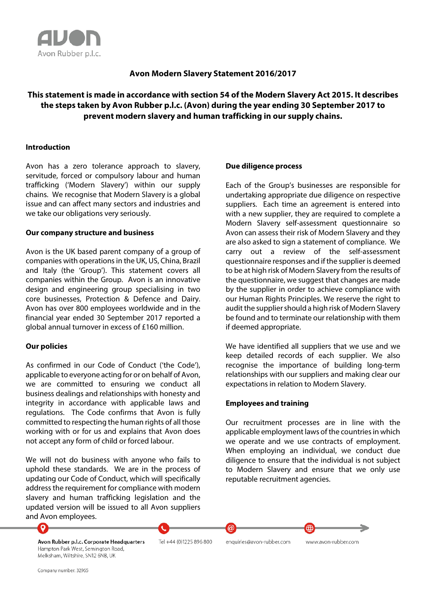

# **Avon Modern Slavery Statement 2016/2017**

# **This statement is made in accordance with section 54 of the Modern Slavery Act 2015. It describes the steps taken by Avon Rubber p.l.c. (Avon) during the year ending 30 September 2017 to prevent modern slavery and human trafficking in our supply chains.**

#### **Introduction**

Avon has a zero tolerance approach to slavery, servitude, forced or compulsory labour and human trafficking ('Modern Slavery') within our supply chains. We recognise that Modern Slavery is a global issue and can affect many sectors and industries and we take our obligations very seriously.

#### **Our company structure and business**

Avon is the UK based parent company of a group of companies with operations in the UK, US, China, Brazil and Italy (the 'Group'). This statement covers all companies within the Group. Avon is an innovative design and engineering group specialising in two core businesses, Protection & Defence and Dairy. Avon has over 800 employees worldwide and in the financial year ended 30 September 2017 reported a global annual turnover in excess of £160 million.

### **Our policies**

As confirmed in our Code of Conduct ('the Code'), applicable to everyone acting for or on behalf of Avon, we are committed to ensuring we conduct all business dealings and relationships with honesty and integrity in accordance with applicable laws and regulations. The Code confirms that Avon is fully committed to respecting the human rights of all those working with or for us and explains that Avon does not accept any form of child or forced labour.

We will not do business with anyone who fails to uphold these standards. We are in the process of updating our Code of Conduct, which will specifically address the requirement for compliance with modern slavery and human trafficking legislation and the updated version will be issued to all Avon suppliers and Avon employees.

#### **Due diligence process**

Each of the Group's businesses are responsible for undertaking appropriate due diligence on respective suppliers. Each time an agreement is entered into with a new supplier, they are required to complete a Modern Slavery self-assessment questionnaire so Avon can assess their risk of Modern Slavery and they are also asked to sign a statement of compliance. We carry out a review of the self-assessment questionnaire responses and if the supplier is deemed to be at high risk of Modern Slavery from the results of the questionnaire, we suggest that changes are made by the supplier in order to achieve compliance with our Human Rights Principles. We reserve the right to audit the supplier should a high risk of Modern Slavery be found and to terminate our relationship with them if deemed appropriate.

We have identified all suppliers that we use and we keep detailed records of each supplier. We also recognise the importance of building long-term relationships with our suppliers and making clear our expectations in relation to Modern Slavery.

## **Employees and training**

Our recruitment processes are in line with the applicable employment laws of the countries in which we operate and we use contracts of employment. When employing an individual, we conduct due diligence to ensure that the individual is not subject to Modern Slavery and ensure that we only use reputable recruitment agencies.

⊕



Tel +44 (0)1225 896 800

enquiries@avon-rubber.com

@

www.avon-rubber.com